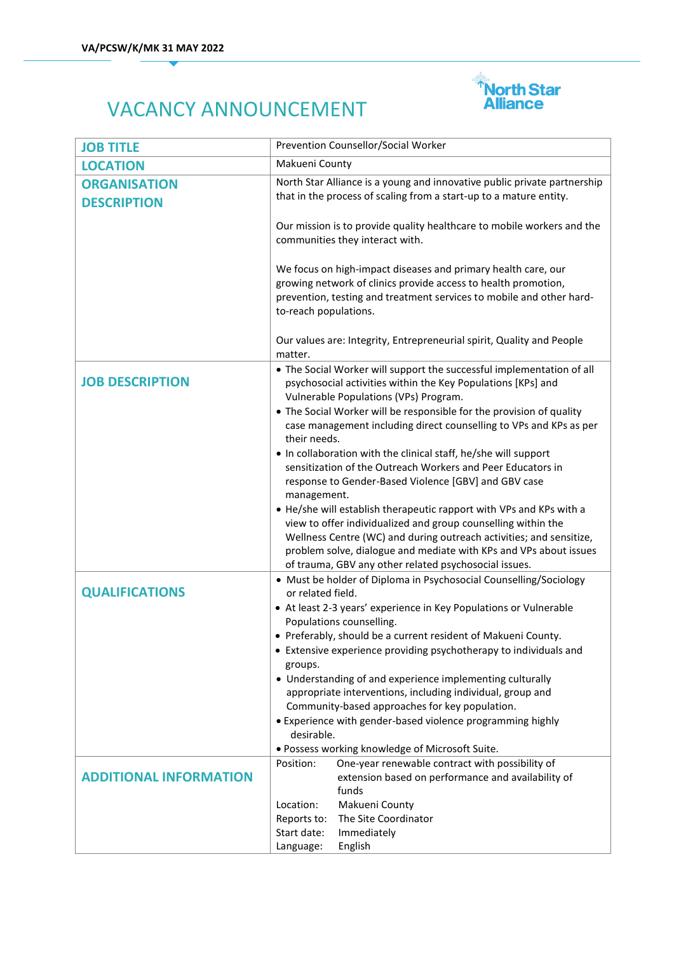

## VACANCY ANNOUNCEMENT

| <b>JOB TITLE</b>                          | Prevention Counsellor/Social Worker                                                                                                                                                                                              |
|-------------------------------------------|----------------------------------------------------------------------------------------------------------------------------------------------------------------------------------------------------------------------------------|
| <b>LOCATION</b>                           | Makueni County                                                                                                                                                                                                                   |
| <b>ORGANISATION</b><br><b>DESCRIPTION</b> | North Star Alliance is a young and innovative public private partnership<br>that in the process of scaling from a start-up to a mature entity.                                                                                   |
|                                           | Our mission is to provide quality healthcare to mobile workers and the<br>communities they interact with.                                                                                                                        |
|                                           | We focus on high-impact diseases and primary health care, our<br>growing network of clinics provide access to health promotion,<br>prevention, testing and treatment services to mobile and other hard-<br>to-reach populations. |
|                                           | Our values are: Integrity, Entrepreneurial spirit, Quality and People<br>matter.                                                                                                                                                 |
| <b>JOB DESCRIPTION</b>                    | • The Social Worker will support the successful implementation of all<br>psychosocial activities within the Key Populations [KPs] and<br>Vulnerable Populations (VPs) Program.                                                   |
|                                           | • The Social Worker will be responsible for the provision of quality<br>case management including direct counselling to VPs and KPs as per<br>their needs.                                                                       |
|                                           | • In collaboration with the clinical staff, he/she will support                                                                                                                                                                  |
|                                           | sensitization of the Outreach Workers and Peer Educators in<br>response to Gender-Based Violence [GBV] and GBV case                                                                                                              |
|                                           | management.                                                                                                                                                                                                                      |
|                                           | • He/she will establish therapeutic rapport with VPs and KPs with a                                                                                                                                                              |
|                                           | view to offer individualized and group counselling within the<br>Wellness Centre (WC) and during outreach activities; and sensitize,                                                                                             |
|                                           | problem solve, dialogue and mediate with KPs and VPs about issues                                                                                                                                                                |
|                                           | of trauma, GBV any other related psychosocial issues.                                                                                                                                                                            |
| <b>QUALIFICATIONS</b>                     | • Must be holder of Diploma in Psychosocial Counselling/Sociology<br>or related field.                                                                                                                                           |
|                                           | • At least 2-3 years' experience in Key Populations or Vulnerable                                                                                                                                                                |
|                                           | Populations counselling.                                                                                                                                                                                                         |
|                                           | • Preferably, should be a current resident of Makueni County.                                                                                                                                                                    |
|                                           | • Extensive experience providing psychotherapy to individuals and<br>groups.                                                                                                                                                     |
|                                           | • Understanding of and experience implementing culturally                                                                                                                                                                        |
|                                           | appropriate interventions, including individual, group and                                                                                                                                                                       |
|                                           | Community-based approaches for key population.<br>• Experience with gender-based violence programming highly                                                                                                                     |
|                                           | desirable.                                                                                                                                                                                                                       |
|                                           | · Possess working knowledge of Microsoft Suite.                                                                                                                                                                                  |
|                                           | One-year renewable contract with possibility of<br>Position:                                                                                                                                                                     |
| <b>ADDITIONAL INFORMATION</b>             | extension based on performance and availability of<br>funds                                                                                                                                                                      |
|                                           | Location:<br>Makueni County                                                                                                                                                                                                      |
|                                           | Reports to:<br>The Site Coordinator                                                                                                                                                                                              |
|                                           | Start date:<br>Immediately                                                                                                                                                                                                       |
|                                           | Language:<br>English                                                                                                                                                                                                             |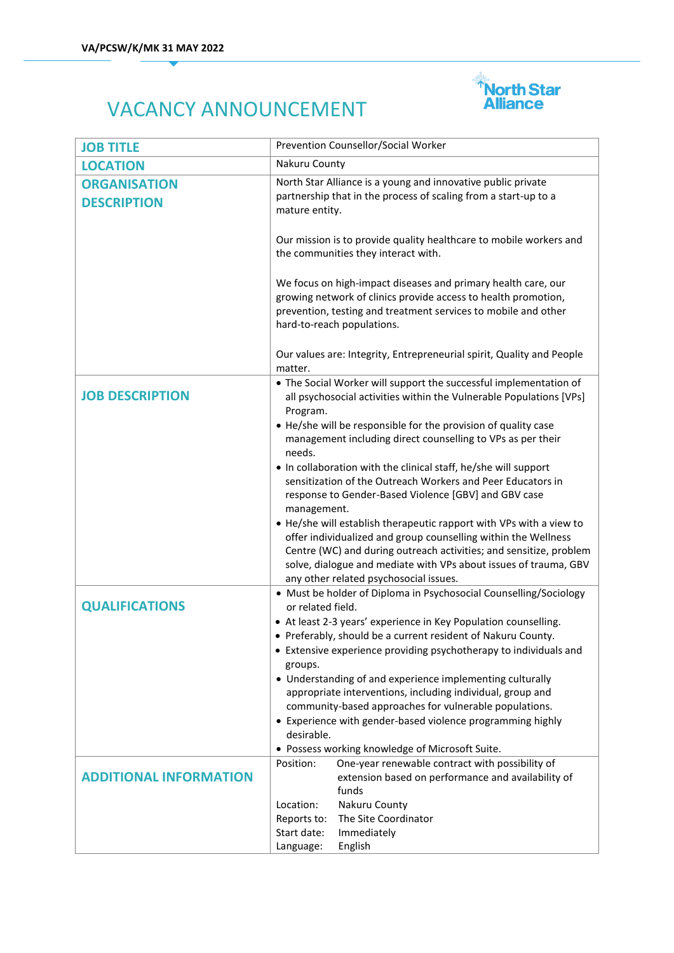

## VACANCY ANNOUNCEMENT

| <b>JOB TITLE</b>                          | Prevention Counsellor/Social Worker                                                                                                                                                                                                                                                                                                      |
|-------------------------------------------|------------------------------------------------------------------------------------------------------------------------------------------------------------------------------------------------------------------------------------------------------------------------------------------------------------------------------------------|
| <b>LOCATION</b>                           | Nakuru County                                                                                                                                                                                                                                                                                                                            |
| <b>ORGANISATION</b><br><b>DESCRIPTION</b> | North Star Alliance is a young and innovative public private<br>partnership that in the process of scaling from a start-up to a<br>mature entity.                                                                                                                                                                                        |
|                                           | Our mission is to provide quality healthcare to mobile workers and<br>the communities they interact with.                                                                                                                                                                                                                                |
|                                           | We focus on high-impact diseases and primary health care, our<br>growing network of clinics provide access to health promotion,<br>prevention, testing and treatment services to mobile and other<br>hard-to-reach populations.                                                                                                          |
|                                           | Our values are: Integrity, Entrepreneurial spirit, Quality and People<br>matter.                                                                                                                                                                                                                                                         |
| <b>JOB DESCRIPTION</b>                    | • The Social Worker will support the successful implementation of<br>all psychosocial activities within the Vulnerable Populations [VPs]<br>Program.                                                                                                                                                                                     |
|                                           | • He/she will be responsible for the provision of quality case<br>management including direct counselling to VPs as per their<br>needs.                                                                                                                                                                                                  |
|                                           | • In collaboration with the clinical staff, he/she will support<br>sensitization of the Outreach Workers and Peer Educators in<br>response to Gender-Based Violence [GBV] and GBV case                                                                                                                                                   |
|                                           | management.<br>• He/she will establish therapeutic rapport with VPs with a view to<br>offer individualized and group counselling within the Wellness<br>Centre (WC) and during outreach activities; and sensitize, problem<br>solve, dialogue and mediate with VPs about issues of trauma, GBV<br>any other related psychosocial issues. |
| <b>QUALIFICATIONS</b>                     | • Must be holder of Diploma in Psychosocial Counselling/Sociology<br>or related field.<br>• At least 2-3 years' experience in Key Population counselling.                                                                                                                                                                                |
|                                           | • Preferably, should be a current resident of Nakuru County.<br>• Extensive experience providing psychotherapy to individuals and<br>groups.                                                                                                                                                                                             |
|                                           | • Understanding of and experience implementing culturally<br>appropriate interventions, including individual, group and<br>community-based approaches for vulnerable populations.                                                                                                                                                        |
|                                           | • Experience with gender-based violence programming highly<br>desirable.<br>· Possess working knowledge of Microsoft Suite.                                                                                                                                                                                                              |
| <b>ADDITIONAL INFORMATION</b>             | One-year renewable contract with possibility of<br>Position:<br>extension based on performance and availability of<br>funds                                                                                                                                                                                                              |
|                                           | Location:<br>Nakuru County<br>The Site Coordinator<br>Reports to:<br>Start date:<br>Immediately<br>English<br>Language:                                                                                                                                                                                                                  |